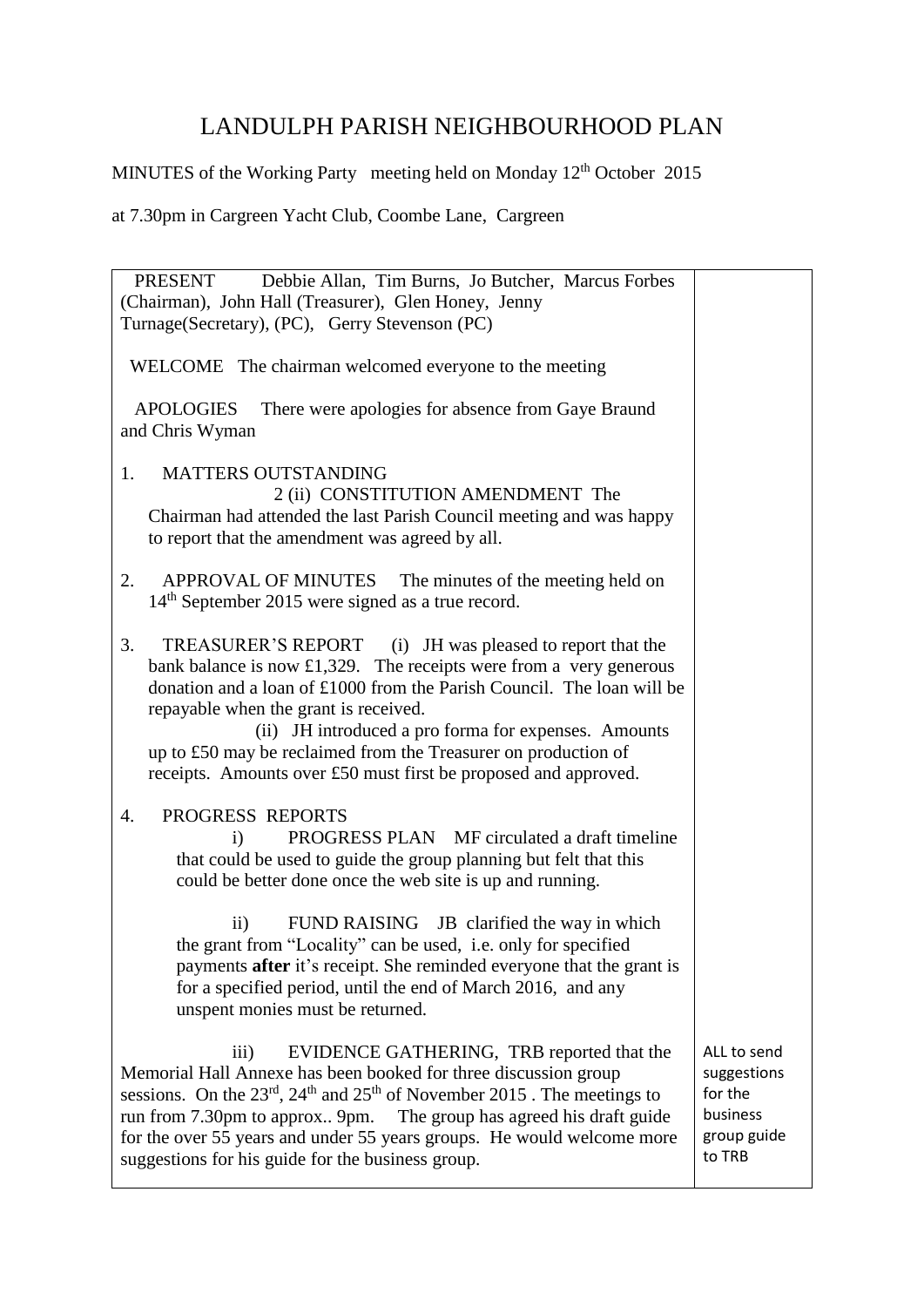## LANDULPH PARISH NEIGHBOURHOOD PLAN

MINUTES of the Working Party meeting held on Monday 12<sup>th</sup> October 2015

at 7.30pm in Cargreen Yacht Club, Coombe Lane, Cargreen

| PRESENT<br>Debbie Allan, Tim Burns, Jo Butcher, Marcus Forbes<br>(Chairman), John Hall (Treasurer), Glen Honey, Jenny<br>Turnage(Secretary), (PC), Gerry Stevenson (PC)                                                                                                                                                                                                                                                                              |                                                                            |
|------------------------------------------------------------------------------------------------------------------------------------------------------------------------------------------------------------------------------------------------------------------------------------------------------------------------------------------------------------------------------------------------------------------------------------------------------|----------------------------------------------------------------------------|
| WELCOME The chairman welcomed everyone to the meeting                                                                                                                                                                                                                                                                                                                                                                                                |                                                                            |
| <b>APOLOGIES</b><br>There were apologies for absence from Gaye Braund<br>and Chris Wyman                                                                                                                                                                                                                                                                                                                                                             |                                                                            |
| 1.<br><b>MATTERS OUTSTANDING</b><br>2 (ii) CONSTITUTION AMENDMENT The<br>Chairman had attended the last Parish Council meeting and was happy<br>to report that the amendment was agreed by all.                                                                                                                                                                                                                                                      |                                                                            |
| <b>APPROVAL OF MINUTES</b><br>2.<br>The minutes of the meeting held on<br>14 <sup>th</sup> September 2015 were signed as a true record.                                                                                                                                                                                                                                                                                                              |                                                                            |
| 3.<br>TREASURER'S REPORT (i) JH was pleased to report that the<br>bank balance is now £1,329. The receipts were from a very generous<br>donation and a loan of £1000 from the Parish Council. The loan will be<br>repayable when the grant is received.<br>(ii) JH introduced a pro forma for expenses. Amounts<br>up to £50 may be reclaimed from the Treasurer on production of<br>receipts. Amounts over £50 must first be proposed and approved. |                                                                            |
| PROGRESS REPORTS<br>4.<br><b>PROGRESS PLAN</b> MF circulated a draft timeline<br>$\bf{ii)}$<br>that could be used to guide the group planning but felt that this<br>could be better done once the web site is up and running.                                                                                                                                                                                                                        |                                                                            |
| $\mathbf{ii}$<br>FUND RAISING JB clarified the way in which<br>the grant from "Locality" can be used, i.e. only for specified<br>payments after it's receipt. She reminded everyone that the grant is<br>for a specified period, until the end of March 2016, and any<br>unspent monies must be returned.                                                                                                                                            |                                                                            |
| EVIDENCE GATHERING, TRB reported that the<br>$\overline{111}$<br>Memorial Hall Annexe has been booked for three discussion group<br>sessions. On the $23^{rd}$ , $24^{th}$ and $25^{th}$ of November 2015. The meetings to<br>run from 7.30pm to approx 9pm. The group has agreed his draft guide<br>for the over 55 years and under 55 years groups. He would welcome more<br>suggestions for his guide for the business group.                     | ALL to send<br>suggestions<br>for the<br>business<br>group guide<br>to TRB |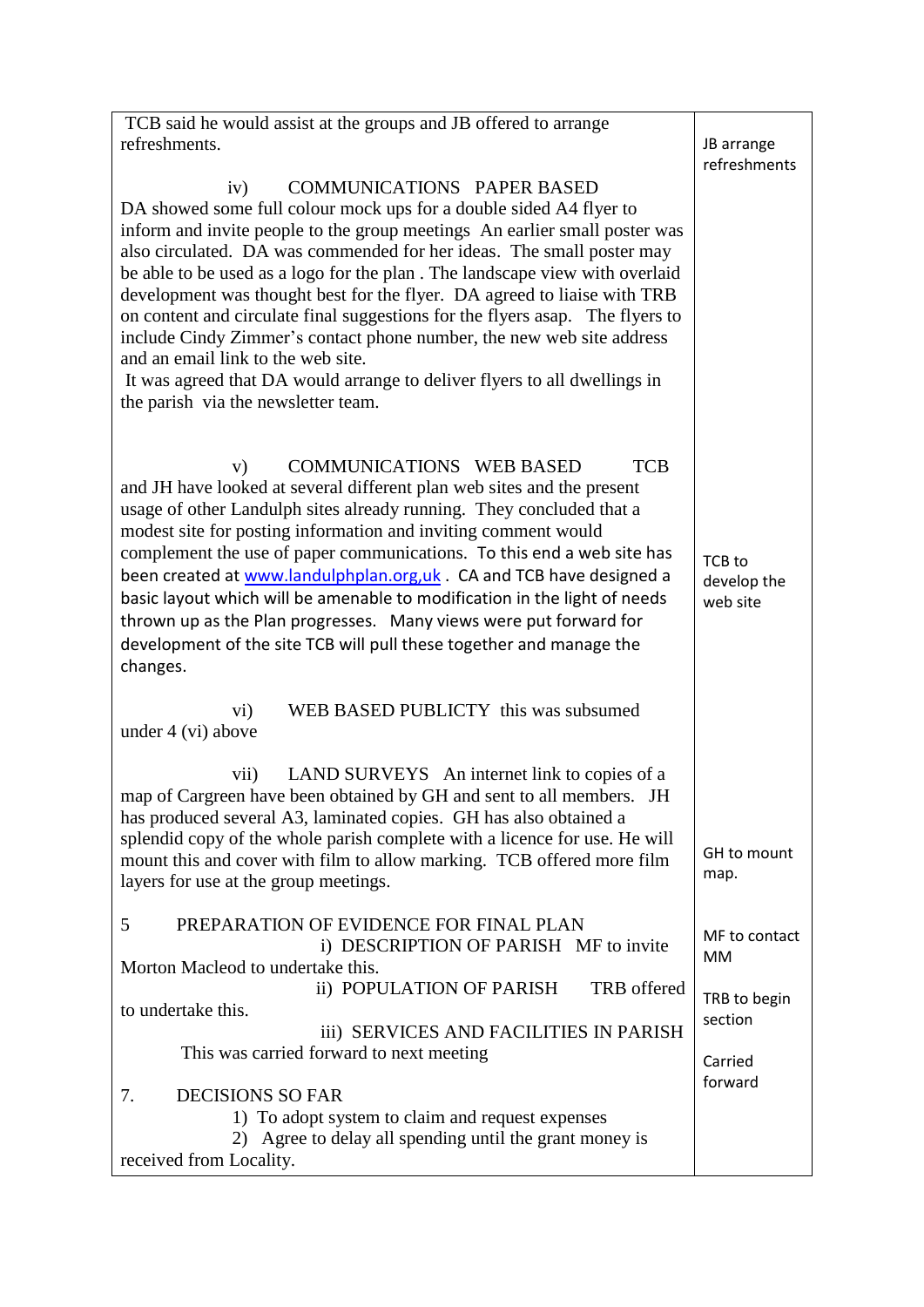| TCB said he would assist at the groups and JB offered to arrange                                                                                                                                                                                                                                                                                                                                                                                                                                                                                                                                                                                                                                                                                     |                                   |
|------------------------------------------------------------------------------------------------------------------------------------------------------------------------------------------------------------------------------------------------------------------------------------------------------------------------------------------------------------------------------------------------------------------------------------------------------------------------------------------------------------------------------------------------------------------------------------------------------------------------------------------------------------------------------------------------------------------------------------------------------|-----------------------------------|
| refreshments.                                                                                                                                                                                                                                                                                                                                                                                                                                                                                                                                                                                                                                                                                                                                        | JB arrange                        |
|                                                                                                                                                                                                                                                                                                                                                                                                                                                                                                                                                                                                                                                                                                                                                      | refreshments                      |
| <b>COMMUNICATIONS PAPER BASED</b><br>iv)<br>DA showed some full colour mock ups for a double sided A4 flyer to<br>inform and invite people to the group meetings An earlier small poster was<br>also circulated. DA was commended for her ideas. The small poster may<br>be able to be used as a logo for the plan. The landscape view with overlaid<br>development was thought best for the flyer. DA agreed to liaise with TRB<br>on content and circulate final suggestions for the flyers asap. The flyers to<br>include Cindy Zimmer's contact phone number, the new web site address<br>and an email link to the web site.<br>It was agreed that DA would arrange to deliver flyers to all dwellings in<br>the parish via the newsletter team. |                                   |
| COMMUNICATIONS WEB BASED<br><b>TCB</b><br>V)<br>and JH have looked at several different plan web sites and the present<br>usage of other Landulph sites already running. They concluded that a<br>modest site for posting information and inviting comment would<br>complement the use of paper communications. To this end a web site has<br>been created at www.landulphplan.org, uk . CA and TCB have designed a<br>basic layout which will be amenable to modification in the light of needs<br>thrown up as the Plan progresses. Many views were put forward for<br>development of the site TCB will pull these together and manage the<br>changes.                                                                                             | TCB to<br>develop the<br>web site |
| WEB BASED PUBLICTY this was subsumed<br>vi)<br>under 4 (vi) above                                                                                                                                                                                                                                                                                                                                                                                                                                                                                                                                                                                                                                                                                    |                                   |
| vii)<br>LAND SURVEYS An internet link to copies of a<br>map of Cargreen have been obtained by GH and sent to all members. JH<br>has produced several A3, laminated copies. GH has also obtained a                                                                                                                                                                                                                                                                                                                                                                                                                                                                                                                                                    |                                   |
| splendid copy of the whole parish complete with a licence for use. He will<br>mount this and cover with film to allow marking. TCB offered more film<br>layers for use at the group meetings.                                                                                                                                                                                                                                                                                                                                                                                                                                                                                                                                                        | GH to mount<br>map.               |
| PREPARATION OF EVIDENCE FOR FINAL PLAN<br>5<br>i) DESCRIPTION OF PARISH MF to invite<br>Morton Macleod to undertake this.                                                                                                                                                                                                                                                                                                                                                                                                                                                                                                                                                                                                                            | MF to contact<br>MM               |
| ii) POPULATION OF PARISH<br>TRB offered                                                                                                                                                                                                                                                                                                                                                                                                                                                                                                                                                                                                                                                                                                              |                                   |
| to undertake this.                                                                                                                                                                                                                                                                                                                                                                                                                                                                                                                                                                                                                                                                                                                                   | TRB to begin                      |
| iii) SERVICES AND FACILITIES IN PARISH                                                                                                                                                                                                                                                                                                                                                                                                                                                                                                                                                                                                                                                                                                               | section                           |
| This was carried forward to next meeting                                                                                                                                                                                                                                                                                                                                                                                                                                                                                                                                                                                                                                                                                                             | Carried                           |
|                                                                                                                                                                                                                                                                                                                                                                                                                                                                                                                                                                                                                                                                                                                                                      | forward                           |
| <b>DECISIONS SO FAR</b><br>7.                                                                                                                                                                                                                                                                                                                                                                                                                                                                                                                                                                                                                                                                                                                        |                                   |
| 1) To adopt system to claim and request expenses                                                                                                                                                                                                                                                                                                                                                                                                                                                                                                                                                                                                                                                                                                     |                                   |
| 2) Agree to delay all spending until the grant money is<br>received from Locality.                                                                                                                                                                                                                                                                                                                                                                                                                                                                                                                                                                                                                                                                   |                                   |
|                                                                                                                                                                                                                                                                                                                                                                                                                                                                                                                                                                                                                                                                                                                                                      |                                   |